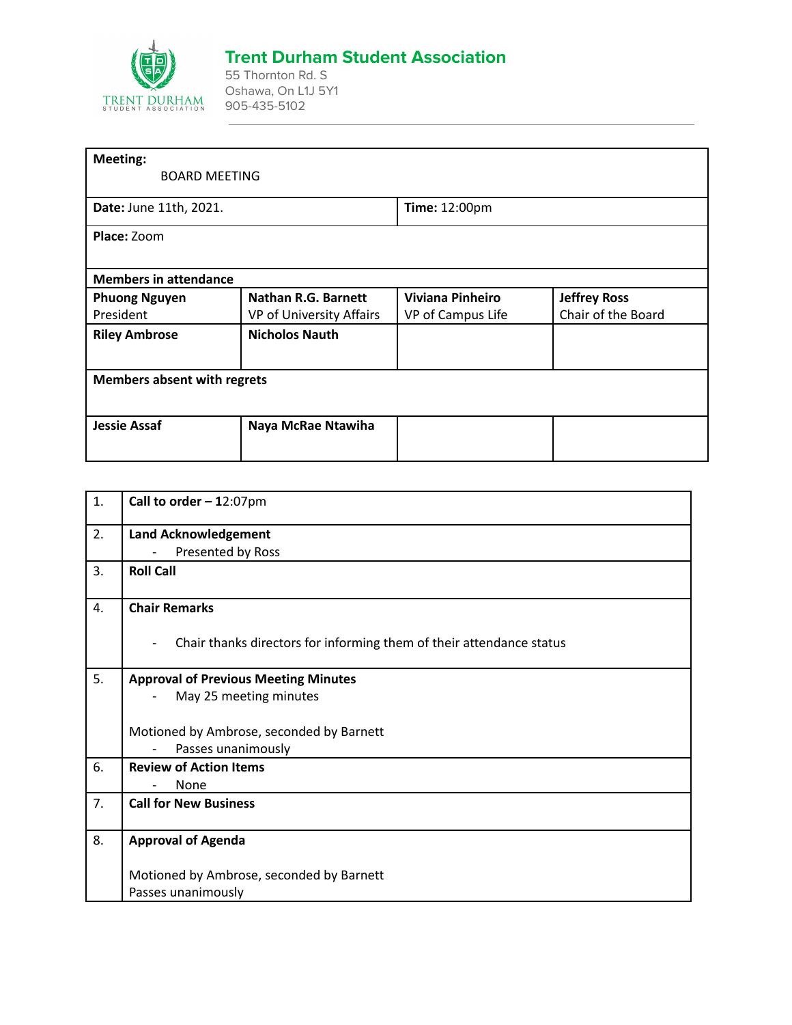

## **Trent Durham Student Association**

55 Thornton Rd. S Oshawa, On L1J 5Y1 905-435-5102

| <b>Meeting:</b>                    |                          |                         |                     |
|------------------------------------|--------------------------|-------------------------|---------------------|
| <b>BOARD MEETING</b>               |                          |                         |                     |
| Date: June 11th, 2021.             |                          | Time: 12:00pm           |                     |
| Place: Zoom                        |                          |                         |                     |
|                                    |                          |                         |                     |
| <b>Members in attendance</b>       |                          |                         |                     |
| <b>Phuong Nguyen</b>               | Nathan R.G. Barnett      | <b>Viviana Pinheiro</b> | <b>Jeffrey Ross</b> |
| President                          | VP of University Affairs | VP of Campus Life       | Chair of the Board  |
| <b>Riley Ambrose</b>               | <b>Nicholos Nauth</b>    |                         |                     |
|                                    |                          |                         |                     |
| <b>Members absent with regrets</b> |                          |                         |                     |
|                                    |                          |                         |                     |
| <b>Jessie Assaf</b>                | Naya McRae Ntawiha       |                         |                     |
|                                    |                          |                         |                     |
|                                    |                          |                         |                     |

| 1. | Call to order $-12:07$ pm                                                                        |  |
|----|--------------------------------------------------------------------------------------------------|--|
| 2. | <b>Land Acknowledgement</b>                                                                      |  |
|    | Presented by Ross                                                                                |  |
| 3. | <b>Roll Call</b>                                                                                 |  |
| 4. | <b>Chair Remarks</b>                                                                             |  |
|    | Chair thanks directors for informing them of their attendance status<br>$\overline{\phantom{a}}$ |  |
| 5. | <b>Approval of Previous Meeting Minutes</b>                                                      |  |
|    | May 25 meeting minutes                                                                           |  |
|    |                                                                                                  |  |
|    | Motioned by Ambrose, seconded by Barnett                                                         |  |
|    | Passes unanimously                                                                               |  |
| 6. | <b>Review of Action Items</b>                                                                    |  |
|    | None                                                                                             |  |
| 7. | <b>Call for New Business</b>                                                                     |  |
|    |                                                                                                  |  |
| 8. | <b>Approval of Agenda</b>                                                                        |  |
|    | Motioned by Ambrose, seconded by Barnett                                                         |  |
|    | Passes unanimously                                                                               |  |